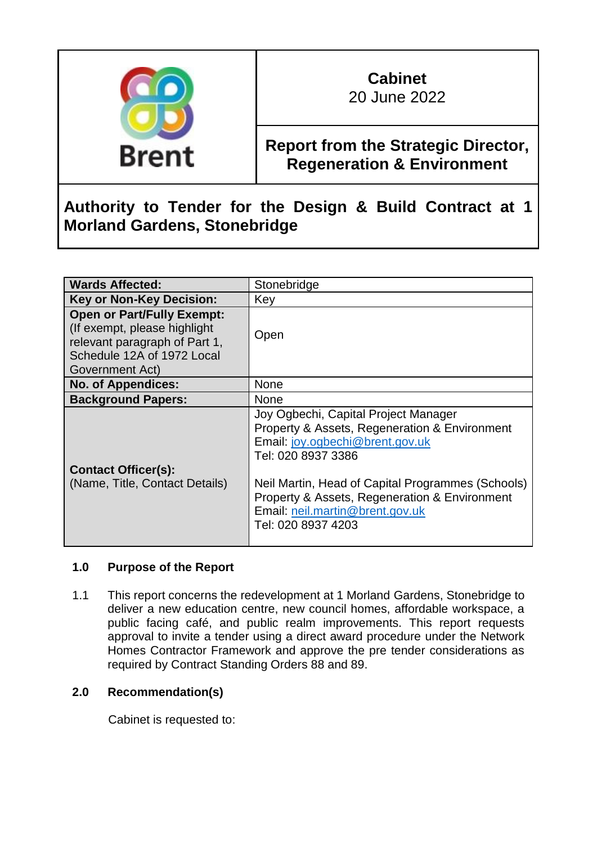

# **Cabinet**

20 June 2022

## **Report from the Strategic Director, Regeneration & Environment**

### **Authority to Tender for the Design & Build Contract at 1 Morland Gardens, Stonebridge**

| <b>Wards Affected:</b>                                                                                                                              | Stonebridge                                                                                                                                                                                                                                                                                                   |
|-----------------------------------------------------------------------------------------------------------------------------------------------------|---------------------------------------------------------------------------------------------------------------------------------------------------------------------------------------------------------------------------------------------------------------------------------------------------------------|
| <b>Key or Non-Key Decision:</b>                                                                                                                     | Key                                                                                                                                                                                                                                                                                                           |
| <b>Open or Part/Fully Exempt:</b><br>(If exempt, please highlight<br>relevant paragraph of Part 1,<br>Schedule 12A of 1972 Local<br>Government Act) | Open                                                                                                                                                                                                                                                                                                          |
| <b>No. of Appendices:</b>                                                                                                                           | None                                                                                                                                                                                                                                                                                                          |
| <b>Background Papers:</b>                                                                                                                           | None                                                                                                                                                                                                                                                                                                          |
| <b>Contact Officer(s):</b><br>(Name, Title, Contact Details)                                                                                        | Joy Ogbechi, Capital Project Manager<br>Property & Assets, Regeneration & Environment<br>Email: joy.ogbechi@brent.gov.uk<br>Tel: 020 8937 3386<br>Neil Martin, Head of Capital Programmes (Schools)<br>Property & Assets, Regeneration & Environment<br>Email: neil.martin@brent.gov.uk<br>Tel: 020 8937 4203 |

#### **1.0 Purpose of the Report**

1.1 This report concerns the redevelopment at 1 Morland Gardens, Stonebridge to deliver a new education centre, new council homes, affordable workspace, a public facing café, and public realm improvements. This report requests approval to invite a tender using a direct award procedure under the Network Homes Contractor Framework and approve the pre tender considerations as required by Contract Standing Orders 88 and 89.

#### **2.0 Recommendation(s)**

Cabinet is requested to: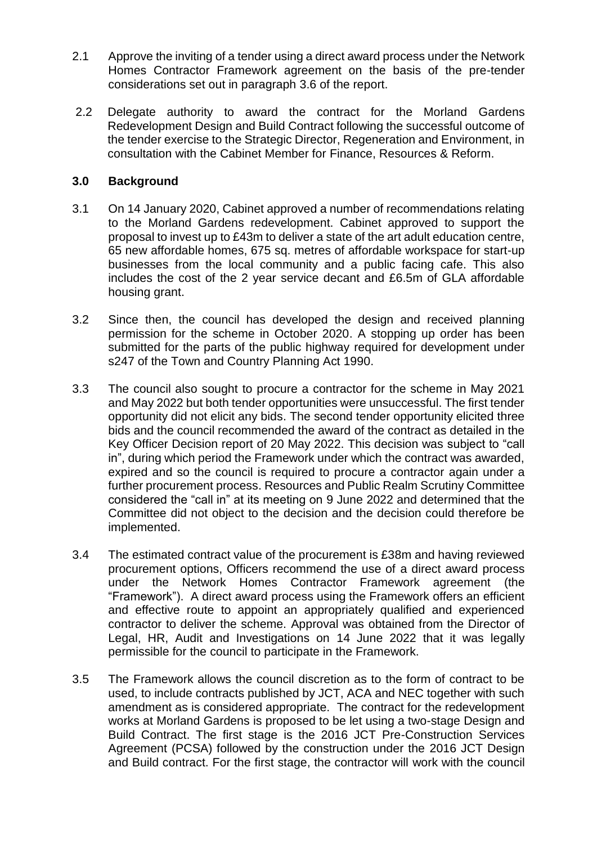- 2.1 Approve the inviting of a tender using a direct award process under the Network Homes Contractor Framework agreement on the basis of the pre-tender considerations set out in paragraph 3.6 of the report.
- 2.2 Delegate authority to award the contract for the Morland Gardens Redevelopment Design and Build Contract following the successful outcome of the tender exercise to the Strategic Director, Regeneration and Environment, in consultation with the Cabinet Member for Finance, Resources & Reform.

#### **3.0 Background**

- 3.1 On 14 January 2020, Cabinet approved a number of recommendations relating to the Morland Gardens redevelopment. Cabinet approved to support the proposal to invest up to £43m to deliver a state of the art adult education centre, 65 new affordable homes, 675 sq. metres of affordable workspace for start-up businesses from the local community and a public facing cafe. This also includes the cost of the 2 year service decant and £6.5m of GLA affordable housing grant.
- 3.2 Since then, the council has developed the design and received planning permission for the scheme in October 2020. A stopping up order has been submitted for the parts of the public highway required for development under s247 of the Town and Country Planning Act 1990.
- 3.3 The council also sought to procure a contractor for the scheme in May 2021 and May 2022 but both tender opportunities were unsuccessful. The first tender opportunity did not elicit any bids. The second tender opportunity elicited three bids and the council recommended the award of the contract as detailed in the Key Officer Decision report of 20 May 2022. This decision was subject to "call in", during which period the Framework under which the contract was awarded, expired and so the council is required to procure a contractor again under a further procurement process. Resources and Public Realm Scrutiny Committee considered the "call in" at its meeting on 9 June 2022 and determined that the Committee did not object to the decision and the decision could therefore be implemented.
- 3.4 The estimated contract value of the procurement is £38m and having reviewed procurement options, Officers recommend the use of a direct award process under the Network Homes Contractor Framework agreement (the "Framework"). A direct award process using the Framework offers an efficient and effective route to appoint an appropriately qualified and experienced contractor to deliver the scheme. Approval was obtained from the Director of Legal, HR, Audit and Investigations on 14 June 2022 that it was legally permissible for the council to participate in the Framework.
- 3.5 The Framework allows the council discretion as to the form of contract to be used, to include contracts published by JCT, ACA and NEC together with such amendment as is considered appropriate. The contract for the redevelopment works at Morland Gardens is proposed to be let using a two-stage Design and Build Contract. The first stage is the 2016 JCT Pre-Construction Services Agreement (PCSA) followed by the construction under the 2016 JCT Design and Build contract. For the first stage, the contractor will work with the council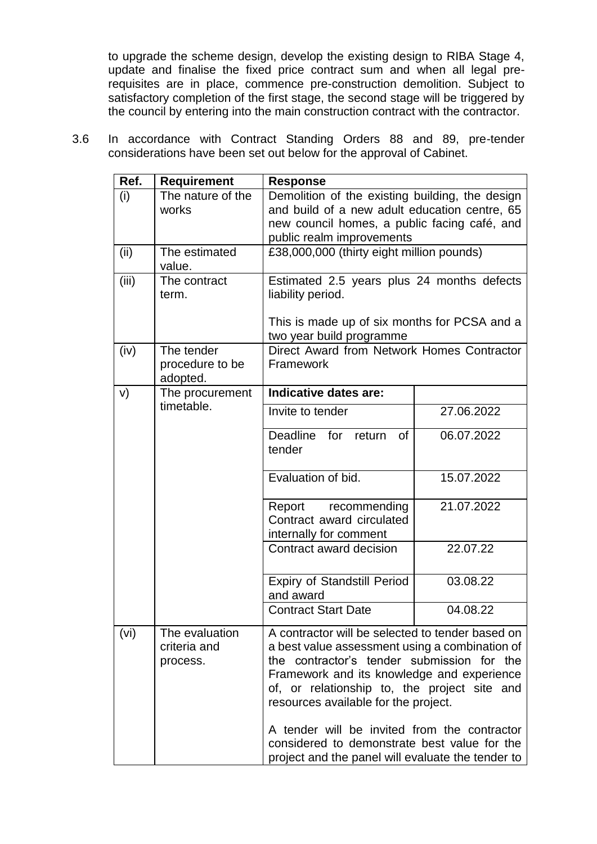to upgrade the scheme design, develop the existing design to RIBA Stage 4, update and finalise the fixed price contract sum and when all legal prerequisites are in place, commence pre-construction demolition. Subject to satisfactory completion of the first stage, the second stage will be triggered by the council by entering into the main construction contract with the contractor.

3.6 In accordance with Contract Standing Orders 88 and 89, pre-tender considerations have been set out below for the approval of Cabinet.

| Ref.  | <b>Requirement</b>                              | <b>Response</b>                                                                                                                                                                                                                                                                                                                                                                                                                             |            |  |
|-------|-------------------------------------------------|---------------------------------------------------------------------------------------------------------------------------------------------------------------------------------------------------------------------------------------------------------------------------------------------------------------------------------------------------------------------------------------------------------------------------------------------|------------|--|
| (i)   | The nature of the<br>works                      | Demolition of the existing building, the design<br>and build of a new adult education centre, 65<br>new council homes, a public facing café, and<br>public realm improvements                                                                                                                                                                                                                                                               |            |  |
| (ii)  | The estimated<br>value.                         | £38,000,000 (thirty eight million pounds)                                                                                                                                                                                                                                                                                                                                                                                                   |            |  |
| (iii) | The contract<br>term.                           | Estimated 2.5 years plus 24 months defects<br>liability period.<br>This is made up of six months for PCSA and a<br>two year build programme                                                                                                                                                                                                                                                                                                 |            |  |
| (iv)  | The tender<br>procedure to be<br>adopted.       | Direct Award from Network Homes Contractor<br>Framework                                                                                                                                                                                                                                                                                                                                                                                     |            |  |
| V)    | The procurement                                 | Indicative dates are:                                                                                                                                                                                                                                                                                                                                                                                                                       |            |  |
|       | timetable.                                      | Invite to tender                                                                                                                                                                                                                                                                                                                                                                                                                            | 27.06.2022 |  |
|       |                                                 | Deadline<br>for return<br>0f<br>tender                                                                                                                                                                                                                                                                                                                                                                                                      | 06.07.2022 |  |
|       | Evaluation of bid.                              | 15.07.2022                                                                                                                                                                                                                                                                                                                                                                                                                                  |            |  |
|       |                                                 | Report recommending<br>Contract award circulated<br>internally for comment                                                                                                                                                                                                                                                                                                                                                                  | 21.07.2022 |  |
|       |                                                 | Contract award decision                                                                                                                                                                                                                                                                                                                                                                                                                     | 22.07.22   |  |
|       | <b>Expiry of Standstill Period</b><br>and award | 03.08.22                                                                                                                                                                                                                                                                                                                                                                                                                                    |            |  |
|       |                                                 | <b>Contract Start Date</b>                                                                                                                                                                                                                                                                                                                                                                                                                  | 04.08.22   |  |
| (vi)  | The evaluation<br>criteria and<br>process.      | A contractor will be selected to tender based on<br>a best value assessment using a combination of<br>the contractor's tender submission for the<br>Framework and its knowledge and experience<br>of, or relationship to, the project site and<br>resources available for the project.<br>A tender will be invited from the contractor<br>considered to demonstrate best value for the<br>project and the panel will evaluate the tender to |            |  |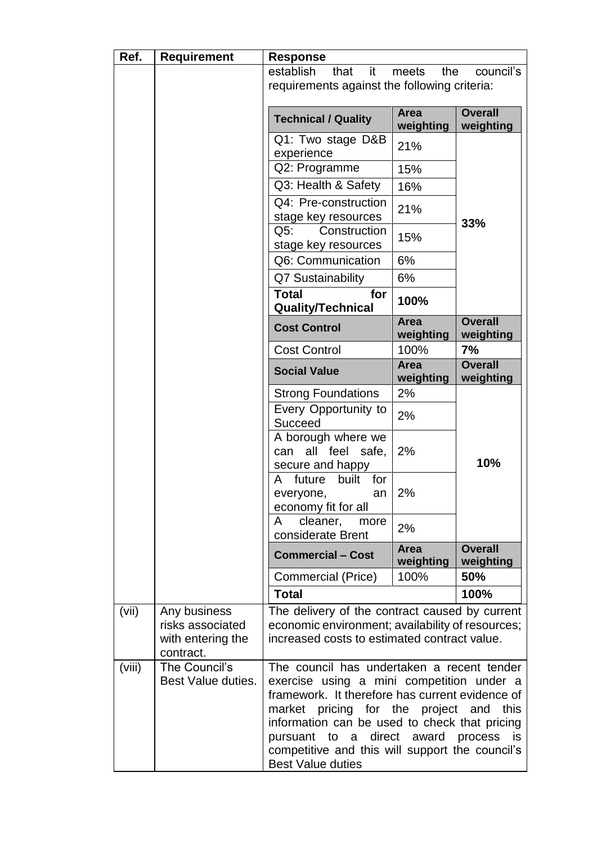| Ref.   | <b>Requirement</b>                                                 | <b>Response</b>                                                                                                                                                                                                                                                                                                                                                         |                          |                             |
|--------|--------------------------------------------------------------------|-------------------------------------------------------------------------------------------------------------------------------------------------------------------------------------------------------------------------------------------------------------------------------------------------------------------------------------------------------------------------|--------------------------|-----------------------------|
|        |                                                                    | establish<br>that<br>it<br>requirements against the following criteria:                                                                                                                                                                                                                                                                                                 | meets<br>the             | council's                   |
|        |                                                                    | <b>Technical / Quality</b>                                                                                                                                                                                                                                                                                                                                              | <b>Area</b><br>weighting | <b>Overall</b><br>weighting |
|        |                                                                    | Q1: Two stage D&B<br>experience                                                                                                                                                                                                                                                                                                                                         | 21%                      |                             |
|        |                                                                    | Q2: Programme                                                                                                                                                                                                                                                                                                                                                           | 15%                      |                             |
|        |                                                                    | Q3: Health & Safety                                                                                                                                                                                                                                                                                                                                                     | 16%                      |                             |
|        |                                                                    | Q4: Pre-construction<br>stage key resources                                                                                                                                                                                                                                                                                                                             | 21%                      | 33%                         |
|        |                                                                    | Q5:<br>Construction<br>stage key resources                                                                                                                                                                                                                                                                                                                              | 15%                      |                             |
|        |                                                                    | Q6: Communication                                                                                                                                                                                                                                                                                                                                                       | 6%                       |                             |
|        |                                                                    | Q7 Sustainability                                                                                                                                                                                                                                                                                                                                                       | 6%                       |                             |
|        |                                                                    | <b>Total</b><br>for<br><b>Quality/Technical</b>                                                                                                                                                                                                                                                                                                                         | 100%                     |                             |
|        |                                                                    | <b>Cost Control</b>                                                                                                                                                                                                                                                                                                                                                     | <b>Area</b><br>weighting | <b>Overall</b><br>weighting |
|        |                                                                    | <b>Cost Control</b>                                                                                                                                                                                                                                                                                                                                                     | 100%                     | 7%                          |
|        |                                                                    | <b>Social Value</b>                                                                                                                                                                                                                                                                                                                                                     | <b>Area</b><br>weighting | <b>Overall</b><br>weighting |
|        |                                                                    | <b>Strong Foundations</b>                                                                                                                                                                                                                                                                                                                                               | 2%                       |                             |
|        |                                                                    | Every Opportunity to<br>Succeed                                                                                                                                                                                                                                                                                                                                         | 2%                       |                             |
|        |                                                                    | A borough where we<br>all feel safe,<br>can<br>secure and happy                                                                                                                                                                                                                                                                                                         | 2%                       | 10%                         |
|        |                                                                    | built<br>future<br>for<br>A<br>everyone,<br>an<br>economy fit for all                                                                                                                                                                                                                                                                                                   | 2%                       |                             |
|        |                                                                    | cleaner,<br>A<br>more<br>considerate Brent                                                                                                                                                                                                                                                                                                                              | 2%                       |                             |
|        |                                                                    | <b>Commercial - Cost</b>                                                                                                                                                                                                                                                                                                                                                | <b>Area</b><br>weighting | <b>Overall</b><br>weighting |
|        |                                                                    | Commercial (Price)                                                                                                                                                                                                                                                                                                                                                      | 100%                     | 50%                         |
|        |                                                                    | <b>Total</b>                                                                                                                                                                                                                                                                                                                                                            |                          | 100%                        |
| (vii)  | Any business<br>risks associated<br>with entering the<br>contract. | The delivery of the contract caused by current<br>economic environment; availability of resources;<br>increased costs to estimated contract value.                                                                                                                                                                                                                      |                          |                             |
| (viii) | The Council's<br>Best Value duties.                                | The council has undertaken a recent tender<br>exercise using a mini competition under a<br>framework. It therefore has current evidence of<br>market pricing for the project and<br>this<br>information can be used to check that pricing<br>to a direct award<br>process is<br>pursuant<br>competitive and this will support the council's<br><b>Best Value duties</b> |                          |                             |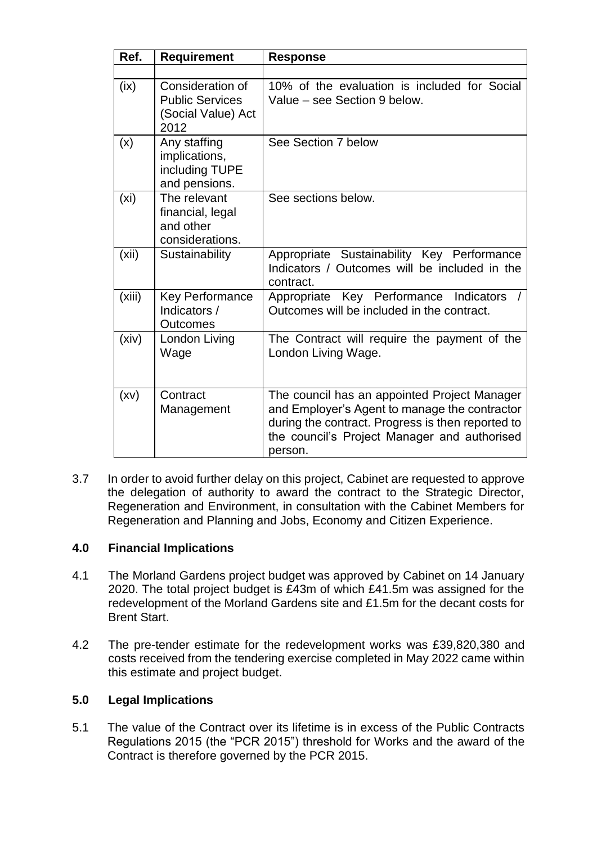| Ref.              | <b>Requirement</b>                                                       | <b>Response</b>                                                                                                                                                                                               |
|-------------------|--------------------------------------------------------------------------|---------------------------------------------------------------------------------------------------------------------------------------------------------------------------------------------------------------|
|                   |                                                                          |                                                                                                                                                                                                               |
| (ix)              | Consideration of<br><b>Public Services</b><br>(Social Value) Act<br>2012 | 10% of the evaluation is included for Social<br>Value - see Section 9 below.                                                                                                                                  |
| (x)               | Any staffing<br>implications,<br>including TUPE<br>and pensions.         | See Section 7 below                                                                                                                                                                                           |
| (x <sub>i</sub> ) | The relevant<br>financial, legal<br>and other<br>considerations.         | See sections below.                                                                                                                                                                                           |
| (xii)             | Sustainability                                                           | Appropriate Sustainability Key Performance<br>Indicators / Outcomes will be included in the<br>contract.                                                                                                      |
| (xiii)            | <b>Key Performance</b><br>Indicators /<br><b>Outcomes</b>                | Appropriate Key Performance<br>Indicators<br>Outcomes will be included in the contract.                                                                                                                       |
| (xiv)             | London Living<br>Wage                                                    | The Contract will require the payment of the<br>London Living Wage.                                                                                                                                           |
| (xv)              | Contract<br>Management                                                   | The council has an appointed Project Manager<br>and Employer's Agent to manage the contractor<br>during the contract. Progress is then reported to<br>the council's Project Manager and authorised<br>person. |

3.7 In order to avoid further delay on this project, Cabinet are requested to approve the delegation of authority to award the contract to the Strategic Director, Regeneration and Environment, in consultation with the Cabinet Members for Regeneration and Planning and Jobs, Economy and Citizen Experience.

#### **4.0 Financial Implications**

- 4.1 The Morland Gardens project budget was approved by Cabinet on 14 January 2020. The total project budget is £43m of which £41.5m was assigned for the redevelopment of the Morland Gardens site and £1.5m for the decant costs for Brent Start.
- 4.2 The pre-tender estimate for the redevelopment works was £39,820,380 and costs received from the tendering exercise completed in May 2022 came within this estimate and project budget.

#### **5.0 Legal Implications**

5.1 The value of the Contract over its lifetime is in excess of the Public Contracts Regulations 2015 (the "PCR 2015") threshold for Works and the award of the Contract is therefore governed by the PCR 2015.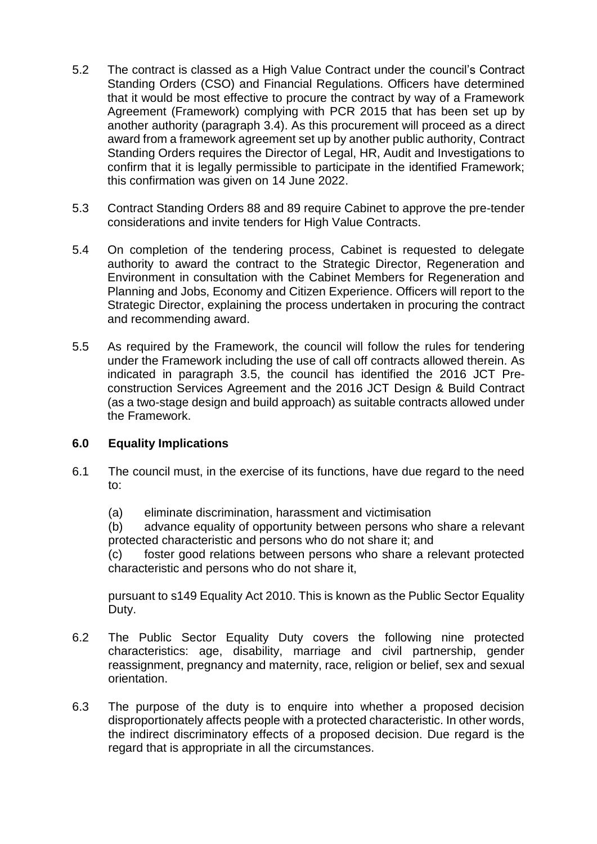- 5.2 The contract is classed as a High Value Contract under the council's Contract Standing Orders (CSO) and Financial Regulations. Officers have determined that it would be most effective to procure the contract by way of a Framework Agreement (Framework) complying with PCR 2015 that has been set up by another authority (paragraph 3.4). As this procurement will proceed as a direct award from a framework agreement set up by another public authority, Contract Standing Orders requires the Director of Legal, HR, Audit and Investigations to confirm that it is legally permissible to participate in the identified Framework; this confirmation was given on 14 June 2022.
- 5.3 Contract Standing Orders 88 and 89 require Cabinet to approve the pre-tender considerations and invite tenders for High Value Contracts.
- 5.4 On completion of the tendering process, Cabinet is requested to delegate authority to award the contract to the Strategic Director, Regeneration and Environment in consultation with the Cabinet Members for Regeneration and Planning and Jobs, Economy and Citizen Experience. Officers will report to the Strategic Director, explaining the process undertaken in procuring the contract and recommending award.
- 5.5 As required by the Framework, the council will follow the rules for tendering under the Framework including the use of call off contracts allowed therein. As indicated in paragraph 3.5, the council has identified the 2016 JCT Preconstruction Services Agreement and the 2016 JCT Design & Build Contract (as a two-stage design and build approach) as suitable contracts allowed under the Framework.

#### **6.0 Equality Implications**

- 6.1 The council must, in the exercise of its functions, have due regard to the need to:
	- (a) eliminate discrimination, harassment and victimisation

(b) advance equality of opportunity between persons who share a relevant protected characteristic and persons who do not share it; and

(c) foster good relations between persons who share a relevant protected characteristic and persons who do not share it,

pursuant to s149 Equality Act 2010. This is known as the Public Sector Equality Duty.

- 6.2 The Public Sector Equality Duty covers the following nine protected characteristics: age, disability, marriage and civil partnership, gender reassignment, pregnancy and maternity, race, religion or belief, sex and sexual orientation.
- 6.3 The purpose of the duty is to enquire into whether a proposed decision disproportionately affects people with a protected characteristic. In other words, the indirect discriminatory effects of a proposed decision. Due regard is the regard that is appropriate in all the circumstances.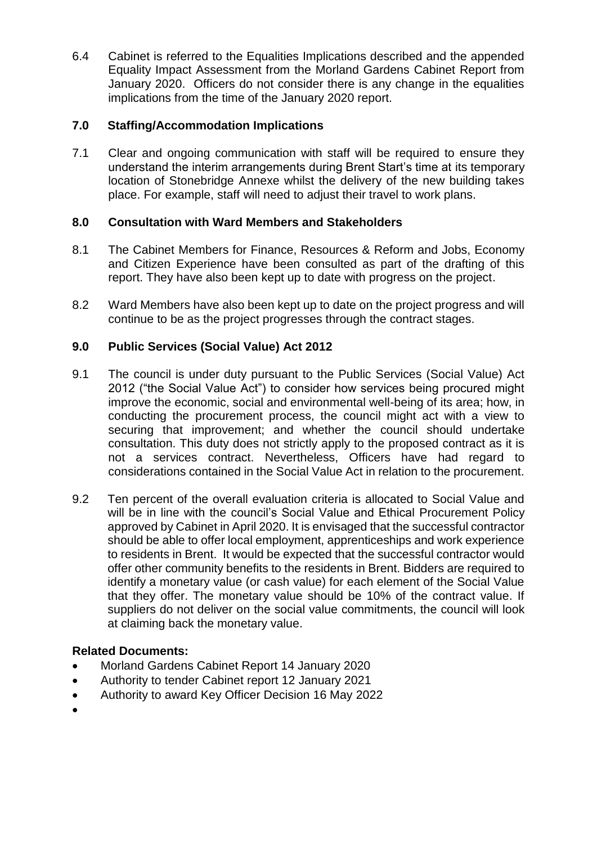6.4 Cabinet is referred to the Equalities Implications described and the appended Equality Impact Assessment from the Morland Gardens Cabinet Report from January 2020. Officers do not consider there is any change in the equalities implications from the time of the January 2020 report.

#### **7.0 Staffing/Accommodation Implications**

7.1 Clear and ongoing communication with staff will be required to ensure they understand the interim arrangements during Brent Start's time at its temporary location of Stonebridge Annexe whilst the delivery of the new building takes place. For example, staff will need to adjust their travel to work plans.

#### **8.0 Consultation with Ward Members and Stakeholders**

- 8.1 The Cabinet Members for Finance, Resources & Reform and Jobs, Economy and Citizen Experience have been consulted as part of the drafting of this report. They have also been kept up to date with progress on the project.
- 8.2 Ward Members have also been kept up to date on the project progress and will continue to be as the project progresses through the contract stages.

#### **9.0 Public Services (Social Value) Act 2012**

- 9.1 The council is under duty pursuant to the Public Services (Social Value) Act 2012 ("the Social Value Act") to consider how services being procured might improve the economic, social and environmental well-being of its area; how, in conducting the procurement process, the council might act with a view to securing that improvement; and whether the council should undertake consultation. This duty does not strictly apply to the proposed contract as it is not a services contract. Nevertheless, Officers have had regard to considerations contained in the Social Value Act in relation to the procurement.
- 9.2 Ten percent of the overall evaluation criteria is allocated to Social Value and will be in line with the council's Social Value and Ethical Procurement Policy approved by Cabinet in April 2020. It is envisaged that the successful contractor should be able to offer local employment, apprenticeships and work experience to residents in Brent. It would be expected that the successful contractor would offer other community benefits to the residents in Brent. Bidders are required to identify a monetary value (or cash value) for each element of the Social Value that they offer. The monetary value should be 10% of the contract value. If suppliers do not deliver on the social value commitments, the council will look at claiming back the monetary value.

#### **Related Documents:**

- Morland Gardens Cabinet Report 14 January 2020
- Authority to tender Cabinet report 12 January 2021
- Authority to award Key Officer Decision 16 May 2022
- $\bullet$